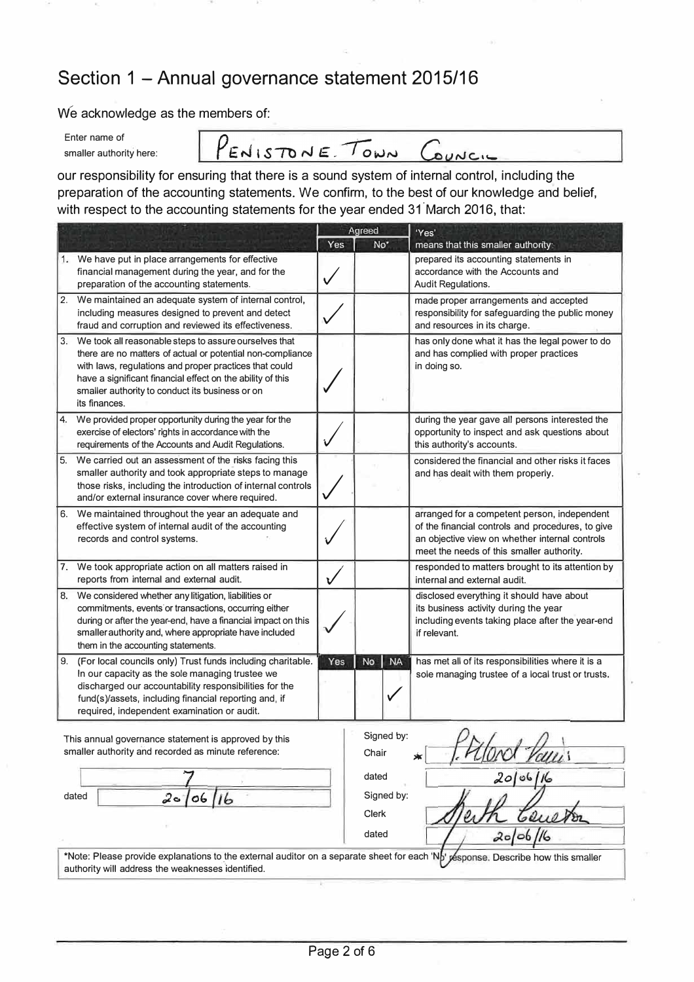## **Section 1 - Annual governance statement 2015/16**

**We acknowledge as the members of:** 

| Enter name of           |
|-------------------------|
| smaller authority here: |

PENISTONE TOWN COUNCIL

**our responsibility for ensuring that there is a sound system of internal control, including the preparation of the accounting statements. We confirm, to the best of our knowledge and belief, with respect to the accounting statements for the year ended 31 ° March 2016, that:** 

|    |                                                                                                                                                                                                                                                                                                                 | Agreed |                            | 'Yes'                                                                                                                                                                                            |
|----|-----------------------------------------------------------------------------------------------------------------------------------------------------------------------------------------------------------------------------------------------------------------------------------------------------------------|--------|----------------------------|--------------------------------------------------------------------------------------------------------------------------------------------------------------------------------------------------|
|    |                                                                                                                                                                                                                                                                                                                 | Yes    | No*                        | means that this smaller authority:                                                                                                                                                               |
|    | We have put in place arrangements for effective<br>financial management during the year, and for the<br>preparation of the accounting statements.                                                                                                                                                               |        |                            | prepared its accounting statements in<br>accordance with the Accounts and<br>Audit Regulations.                                                                                                  |
|    | 2. We maintained an adequate system of internal control,<br>including measures designed to prevent and detect<br>fraud and corruption and reviewed its effectiveness.                                                                                                                                           |        |                            | made proper arrangements and accepted<br>responsibility for safeguarding the public money<br>and resources in its charge.                                                                        |
| 3. | We took all reasonable steps to assure ourselves that<br>there are no matters of actual or potential non-compliance<br>with laws, regulations and proper practices that could<br>have a significant financial effect on the ability of this<br>smaller authority to conduct its business or on<br>its finances. |        |                            | has only done what it has the legal power to do<br>and has complied with proper practices<br>in doing so.                                                                                        |
| 4. | We provided proper opportunity during the year for the<br>exercise of electors' rights in accordance with the<br>requirements of the Accounts and Audit Regulations.                                                                                                                                            |        |                            | during the year gave all persons interested the<br>opportunity to inspect and ask questions about<br>this authority's accounts.                                                                  |
| 5. | We carried out an assessment of the risks facing this<br>smaller authority and took appropriate steps to manage<br>those risks, including the introduction of internal controls<br>and/or external insurance cover where required.                                                                              |        |                            | considered the financial and other risks it faces<br>and has dealt with them properly.                                                                                                           |
| 6. | We maintained throughout the year an adequate and<br>effective system of internal audit of the accounting<br>records and control systems.                                                                                                                                                                       |        |                            | arranged for a competent person, independent<br>of the financial controls and procedures, to give<br>an objective view on whether internal controls<br>meet the needs of this smaller authority. |
| 7. | We took appropriate action on all matters raised in<br>reports from internal and external audit.                                                                                                                                                                                                                | Ł      |                            | responded to matters brought to its attention by<br>internal and external audit.                                                                                                                 |
| 8. | We considered whether any litigation, liabilities or<br>commitments, events or transactions, occurring either<br>during or after the year-end, have a financial impact on this<br>smaller authority and, where appropriate have included<br>them in the accounting statements.                                  |        |                            | disclosed everything it should have about<br>its business activity during the year<br>including events taking place after the year-end<br>if relevant.                                           |
| 9. | (For local councils only) Trust funds including charitable.<br>In our capacity as the sole managing trustee we<br>discharged our accountability responsibilities for the<br>fund(s)/assets, including financial reporting and, if<br>required, independent examination or audit.                                | Yes    | <b>No</b><br><b>NA</b>     | has met all of its responsibilities where it is a<br>sole managing trustee of a local trust or trusts.                                                                                           |
|    | This annual governance statement is approved by this<br>smaller authority and recorded as minute reference:                                                                                                                                                                                                     |        | Signed by:<br>Chair        |                                                                                                                                                                                                  |
|    |                                                                                                                                                                                                                                                                                                                 |        | dated                      |                                                                                                                                                                                                  |
|    | dated<br>2 <sub>°</sub><br>06                                                                                                                                                                                                                                                                                   |        | Signed by:<br><b>Clerk</b> |                                                                                                                                                                                                  |

\*Note: Please provide explanations to the external auditor on a separate sheet for each 'Np' pesponse. Describe how this smaller authority will address the weaknesses identified.

dated

20/06/16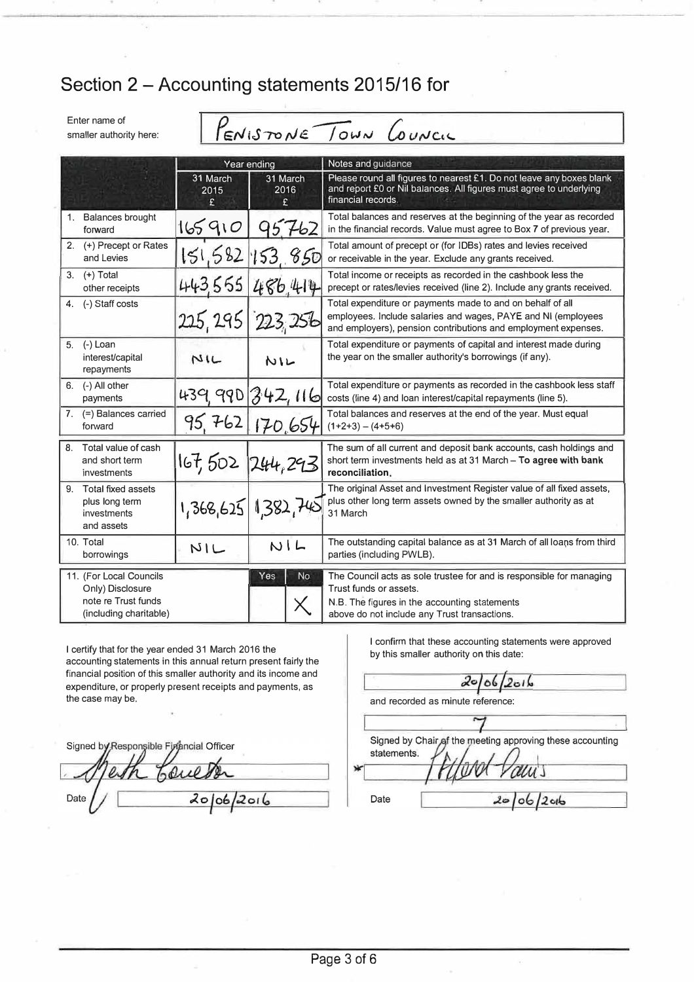# Section 2 - Accounting statements 2015/16 for

Enter name of smaller authority here: PENISTONE TOWN COUNCIL

|                                                                                              | Year ending            |                        | Notes and guidance                                                                                                                                                                              |  |
|----------------------------------------------------------------------------------------------|------------------------|------------------------|-------------------------------------------------------------------------------------------------------------------------------------------------------------------------------------------------|--|
|                                                                                              | 31 March<br>2015<br>£. | 31 March<br>2016<br>ç. | Please round all figures to nearest £1. Do not leave any boxes blank<br>and report £0 or Nil balances. All figures must agree to underlying<br>financial records.                               |  |
| <b>Balances brought</b><br>1.<br>forward                                                     | 165910                 | 762                    | Total balances and reserves at the beginning of the year as recorded<br>in the financial records. Value must agree to Box 7 of previous year.                                                   |  |
| 2. (+) Precept or Rates<br>and Levies                                                        |                        | 151,582,153,850        | Total amount of precept or (for IDBs) rates and levies received<br>or receivable in the year. Exclude any grants received.                                                                      |  |
| $3.$ (+) Total<br>other receipts                                                             | 443.555                | 486.414                | Total income or receipts as recorded in the cashbook less the<br>precept or rates/levies received (line 2). Include any grants received.                                                        |  |
| 4. (-) Staff costs                                                                           | 225, 295               | 223, 256               | Total expenditure or payments made to and on behalf of all<br>employees. Include salaries and wages, PAYE and NI (employees<br>and employers), pension contributions and employment expenses.   |  |
| (-) Loan<br>5.<br>interest/capital<br>repayments                                             | NIL                    | NIL                    | Total expenditure or payments of capital and interest made during<br>the year on the smaller authority's borrowings (if any).                                                                   |  |
| (-) All other<br>6.<br>payments                                                              | 439 990                | 342,116                | Total expenditure or payments as recorded in the cashbook less staff<br>costs (line 4) and loan interest/capital repayments (line 5).                                                           |  |
| 7. $(=)$ Balances carried<br>forward                                                         | 95.762                 | 170.654                | Total balances and reserves at the end of the year. Must equal<br>$(1+2+3) - (4+5+6)$                                                                                                           |  |
| Total value of cash<br>8.<br>and short term<br>investments                                   | 167,502                | 1244, 293              | The sum of all current and deposit bank accounts, cash holdings and<br>short term investments held as at 31 March - To agree with bank<br>reconciliation.                                       |  |
| 9. Total fixed assets<br>plus long term<br>investments<br>and assets                         |                        | 1,368,625 1,382,742    | The original Asset and Investment Register value of all fixed assets,<br>plus other long term assets owned by the smaller authority as at<br>31 March                                           |  |
| 10. Total<br>borrowings                                                                      | NIL                    | NIL                    | The outstanding capital balance as at 31 March of all loans from third<br>parties (including PWLB).                                                                                             |  |
| 11. (For Local Councils<br>Only) Disclosure<br>note re Trust funds<br>(including charitable) |                        | <b>No</b><br>Yes       | The Council acts as sole trustee for and is responsible for managing<br>Trust funds or assets.<br>N.B. The figures in the accounting statements<br>above do not include any Trust transactions. |  |

I certify that for the year ended 31 March 2016 the accounting statements in this annual return present fairly the financial position of this smaller authority and its income and expenditure, or properly present receipts and payments, as the case may be.

Signed by Responsible Firmncial Officer Love  $2006/2016$ Date

I confirm that these accounting statements were approved by this smaller authority on this date:

 $20/06$  $2016$ and recorded as minute reference: Signed by Chair of the meeting approving these accounting statements. Date  $20/06/2016$